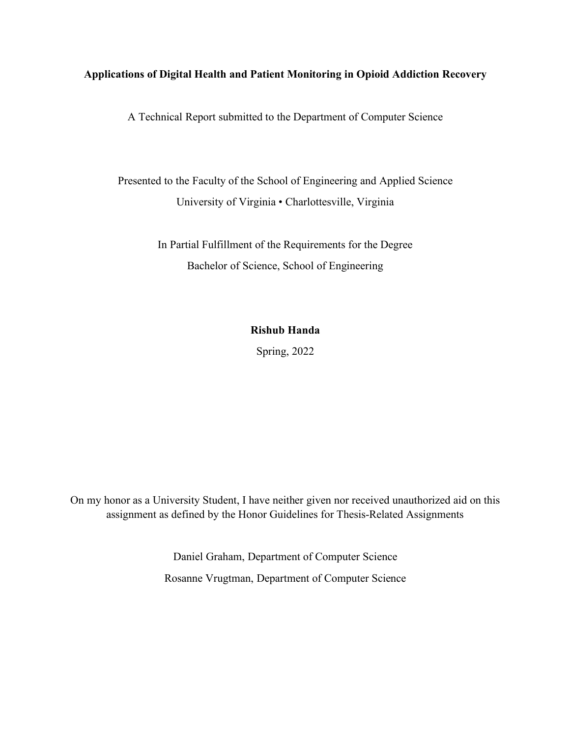# **Applications of Digital Health and Patient Monitoring in Opioid Addiction Recovery**

A Technical Report submitted to the Department of Computer Science

Presented to the Faculty of the School of Engineering and Applied Science University of Virginia • Charlottesville, Virginia

> In Partial Fulfillment of the Requirements for the Degree Bachelor of Science, School of Engineering

# **Rishub Handa**

Spring, 2022

On my honor as a University Student, I have neither given nor received unauthorized aid on this assignment as defined by the Honor Guidelines for Thesis-Related Assignments

> Daniel Graham, Department of Computer Science Rosanne Vrugtman, Department of Computer Science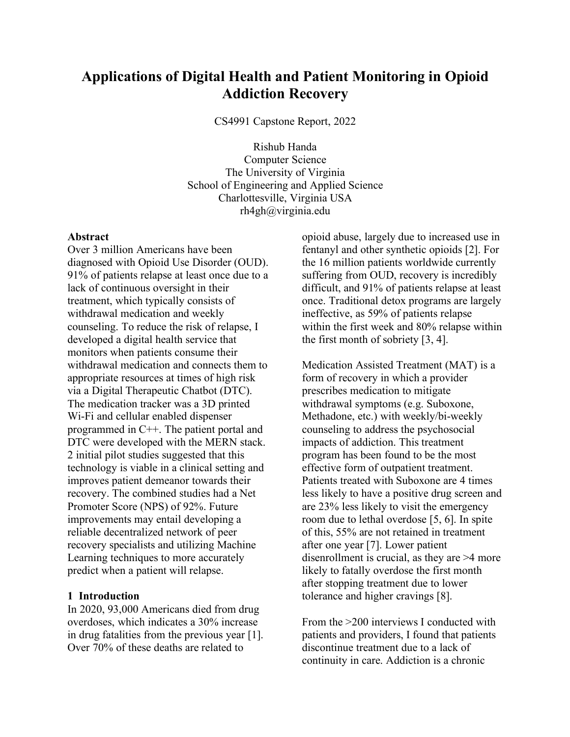# **Applications of Digital Health and Patient Monitoring in Opioid Addiction Recovery**

CS4991 Capstone Report, 2022

Rishub Handa Computer Science The University of Virginia School of Engineering and Applied Science Charlottesville, Virginia USA rh4gh@virginia.edu

#### **Abstract**

Over 3 million Americans have been diagnosed with Opioid Use Disorder (OUD). 91% of patients relapse at least once due to a lack of continuous oversight in their treatment, which typically consists of withdrawal medication and weekly counseling. To reduce the risk of relapse, I developed a digital health service that monitors when patients consume their withdrawal medication and connects them to appropriate resources at times of high risk via a Digital Therapeutic Chatbot (DTC). The medication tracker was a 3D printed Wi-Fi and cellular enabled dispenser programmed in C++. The patient portal and DTC were developed with the MERN stack. 2 initial pilot studies suggested that this technology is viable in a clinical setting and improves patient demeanor towards their recovery. The combined studies had a Net Promoter Score (NPS) of 92%. Future improvements may entail developing a reliable decentralized network of peer recovery specialists and utilizing Machine Learning techniques to more accurately predict when a patient will relapse.

## **1 Introduction**

In 2020, 93,000 Americans died from drug overdoses, which indicates a 30% increase in drug fatalities from the previous year [1]. Over 70% of these deaths are related to

opioid abuse, largely due to increased use in fentanyl and other synthetic opioids [2]. For the 16 million patients worldwide currently suffering from OUD, recovery is incredibly difficult, and 91% of patients relapse at least once. Traditional detox programs are largely ineffective, as 59% of patients relapse within the first week and 80% relapse within the first month of sobriety [3, 4].

Medication Assisted Treatment (MAT) is a form of recovery in which a provider prescribes medication to mitigate withdrawal symptoms (e.g. Suboxone, Methadone, etc.) with weekly/bi-weekly counseling to address the psychosocial impacts of addiction. This treatment program has been found to be the most effective form of outpatient treatment. Patients treated with Suboxone are 4 times less likely to have a positive drug screen and are 23% less likely to visit the emergency room due to lethal overdose [5, 6]. In spite of this, 55% are not retained in treatment after one year [7]. Lower patient disenrollment is crucial, as they are >4 more likely to fatally overdose the first month after stopping treatment due to lower tolerance and higher cravings [8].

From the >200 interviews I conducted with patients and providers, I found that patients discontinue treatment due to a lack of continuity in care. Addiction is a chronic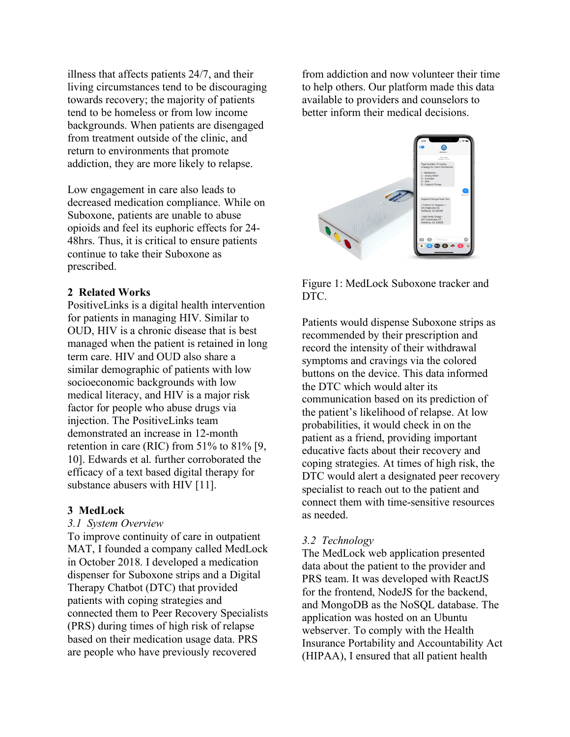illness that affects patients 24/7, and their living circumstances tend to be discouraging towards recovery; the majority of patients tend to be homeless or from low income backgrounds. When patients are disengaged from treatment outside of the clinic, and return to environments that promote addiction, they are more likely to relapse.

Low engagement in care also leads to decreased medication compliance. While on Suboxone, patients are unable to abuse opioids and feel its euphoric effects for 24- 48hrs. Thus, it is critical to ensure patients continue to take their Suboxone as prescribed.

## **2 Related Works**

PositiveLinks is a digital health intervention for patients in managing HIV. Similar to OUD, HIV is a chronic disease that is best managed when the patient is retained in long term care. HIV and OUD also share a similar demographic of patients with low socioeconomic backgrounds with low medical literacy, and HIV is a major risk factor for people who abuse drugs via injection. The PositiveLinks team demonstrated an increase in 12-month retention in care (RIC) from 51% to 81% [9, 10]. Edwards et al. further corroborated the efficacy of a text based digital therapy for substance abusers with HIV [11].

#### **3 MedLock**

#### *3.1 System Overview*

To improve continuity of care in outpatient MAT, I founded a company called MedLock in October 2018. I developed a medication dispenser for Suboxone strips and a Digital Therapy Chatbot (DTC) that provided patients with coping strategies and connected them to Peer Recovery Specialists (PRS) during times of high risk of relapse based on their medication usage data. PRS are people who have previously recovered

from addiction and now volunteer their time to help others. Our platform made this data available to providers and counselors to better inform their medical decisions.



Figure 1: MedLock Suboxone tracker and DTC.

Patients would dispense Suboxone strips as recommended by their prescription and record the intensity of their withdrawal symptoms and cravings via the colored buttons on the device. This data informed the DTC which would alter its communication based on its prediction of the patient's likelihood of relapse. At low probabilities, it would check in on the patient as a friend, providing important educative facts about their recovery and coping strategies. At times of high risk, the DTC would alert a designated peer recovery specialist to reach out to the patient and connect them with time-sensitive resources as needed.

## *3.2 Technology*

The MedLock web application presented data about the patient to the provider and PRS team. It was developed with ReactJS for the frontend, NodeJS for the backend, and MongoDB as the NoSQL database. The application was hosted on an Ubuntu webserver. To comply with the Health Insurance Portability and Accountability Act (HIPAA), I ensured that all patient health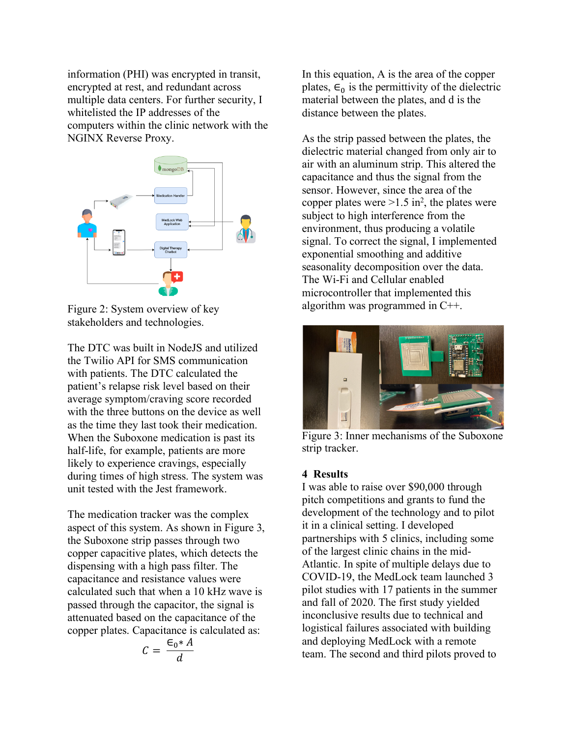information (PHI) was encrypted in transit, encrypted at rest, and redundant across multiple data centers. For further security, I whitelisted the IP addresses of the computers within the clinic network with the NGINX Reverse Proxy.



Figure 2: System overview of key stakeholders and technologies.

The DTC was built in NodeJS and utilized the Twilio API for SMS communication with patients. The DTC calculated the patient's relapse risk level based on their average symptom/craving score recorded with the three buttons on the device as well as the time they last took their medication. When the Suboxone medication is past its half-life, for example, patients are more likely to experience cravings, especially during times of high stress. The system was unit tested with the Jest framework.

The medication tracker was the complex aspect of this system. As shown in Figure 3, the Suboxone strip passes through two copper capacitive plates, which detects the dispensing with a high pass filter. The capacitance and resistance values were calculated such that when a 10 kHz wave is passed through the capacitor, the signal is attenuated based on the capacitance of the copper plates. Capacitance is calculated as:

$$
C = \frac{\epsilon_0 * A}{d}
$$

In this equation, A is the area of the copper plates,  $\epsilon_0$  is the permittivity of the dielectric material between the plates, and d is the distance between the plates.

As the strip passed between the plates, the dielectric material changed from only air to air with an aluminum strip. This altered the capacitance and thus the signal from the sensor. However, since the area of the copper plates were  $>1.5$  in<sup>2</sup>, the plates were subject to high interference from the environment, thus producing a volatile signal. To correct the signal, I implemented exponential smoothing and additive seasonality decomposition over the data. The Wi-Fi and Cellular enabled microcontroller that implemented this algorithm was programmed in C++.



Figure 3: Inner mechanisms of the Suboxone strip tracker.

# **4 Results**

I was able to raise over \$90,000 through pitch competitions and grants to fund the development of the technology and to pilot it in a clinical setting. I developed partnerships with 5 clinics, including some of the largest clinic chains in the mid-Atlantic. In spite of multiple delays due to COVID-19, the MedLock team launched 3 pilot studies with 17 patients in the summer and fall of 2020. The first study yielded inconclusive results due to technical and logistical failures associated with building and deploying MedLock with a remote team. The second and third pilots proved to